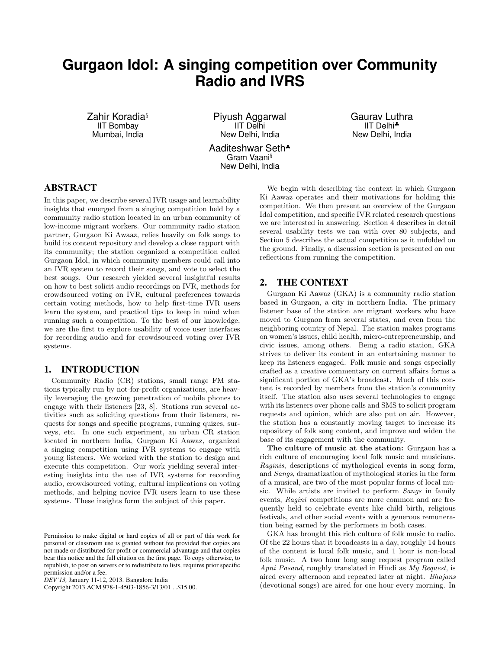# **Gurgaon Idol: A singing competition over Community Radio and IVRS**

Zahir Koradia§ IIT Bombay Mumbai, India

Piyush Aggarwal IIT Delhi New Delhi, India

Aaditeshwar Seth♣ Gram Vaani§ New Delhi, India

Gaurav Luthra IIT Delhi♣ New Delhi, India

# **ABSTRACT**

In this paper, we describe several IVR usage and learnability insights that emerged from a singing competition held by a community radio station located in an urban community of low-income migrant workers. Our community radio station partner, Gurgaon Ki Awaaz, relies heavily on folk songs to build its content repository and develop a close rapport with its community; the station organized a competition called Gurgaon Idol, in which community members could call into an IVR system to record their songs, and vote to select the best songs. Our research yielded several insightful results on how to best solicit audio recordings on IVR, methods for crowdsourced voting on IVR, cultural preferences towards certain voting methods, how to help first-time IVR users learn the system, and practical tips to keep in mind when running such a competition. To the best of our knowledge, we are the first to explore usability of voice user interfaces for recording audio and for crowdsourced voting over IVR systems.

# **1. INTRODUCTION**

Community Radio (CR) stations, small range FM stations typically run by not-for-profit organizations, are heavily leveraging the growing penetration of mobile phones to engage with their listeners [23, 8]. Stations run several activities such as soliciting questions from their listeners, requests for songs and specific programs, running quizes, surveys, etc. In one such experiment, an urban CR station located in northern India, Gurgaon Ki Aawaz, organized a singing competition using IVR systems to engage with young listeners. We worked with the station to design and execute this competition. Our work yielding several interesting insights into the use of IVR systems for recording audio, crowdsourced voting, cultural implications on voting methods, and helping novice IVR users learn to use these systems. These insights form the subject of this paper.

Copyright 2013 ACM 978-1-4503-1856-3/13/01 ...\$15.00.

We begin with describing the context in which Gurgaon Ki Aawaz operates and their motivations for holding this competition. We then present an overview of the Gurgaon Idol competition, and specific IVR related research questions we are interested in answering. Section 4 describes in detail several usability tests we ran with over 80 subjects, and Section 5 describes the actual competition as it unfolded on the ground. Finally, a discussion section is presented on our reflections from running the competition.

# **2. THE CONTEXT**

Gurgaon Ki Aawaz (GKA) is a community radio station based in Gurgaon, a city in northern India. The primary listener base of the station are migrant workers who have moved to Gurgaon from several states, and even from the neighboring country of Nepal. The station makes programs on women's issues, child health, micro-entrepreneurship, and civic issues, among others. Being a radio station, GKA strives to deliver its content in an entertaining manner to keep its listeners engaged. Folk music and songs especially crafted as a creative commentary on current affairs forms a significant portion of GKA's broadcast. Much of this content is recorded by members from the station's community itself. The station also uses several technologies to engage with its listeners over phone calls and SMS to solicit program requests and opinion, which are also put on air. However, the station has a constantly moving target to increase its repository of folk song content, and improve and widen the base of its engagement with the community.

The culture of music at the station: Gurgaon has a rich culture of encouraging local folk music and musicians. Raginis, descriptions of mythological events in song form, and Sangs, dramatization of mythological stories in the form of a musical, are two of the most popular forms of local music. While artists are invited to perform Sangs in family events, Ragini competitions are more common and are frequently held to celebrate events like child birth, religious festivals, and other social events with a generous remuneration being earned by the performers in both cases.

GKA has brought this rich culture of folk music to radio. Of the 22 hours that it broadcasts in a day, roughly 14 hours of the content is local folk music, and 1 hour is non-local folk music. A two hour long song request program called Apni Pasand, roughly translated in Hindi as My Request, is aired every afternoon and repeated later at night. Bhajans (devotional songs) are aired for one hour every morning. In

Permission to make digital or hard copies of all or part of this work for personal or classroom use is granted without fee provided that copies are not made or distributed for profit or commercial advantage and that copies bear this notice and the full citation on the first page. To copy otherwise, to republish, to post on servers or to redistribute to lists, requires prior specific permission and/or a fee.

*DEV'13,* January 11-12, 2013. Bangalore India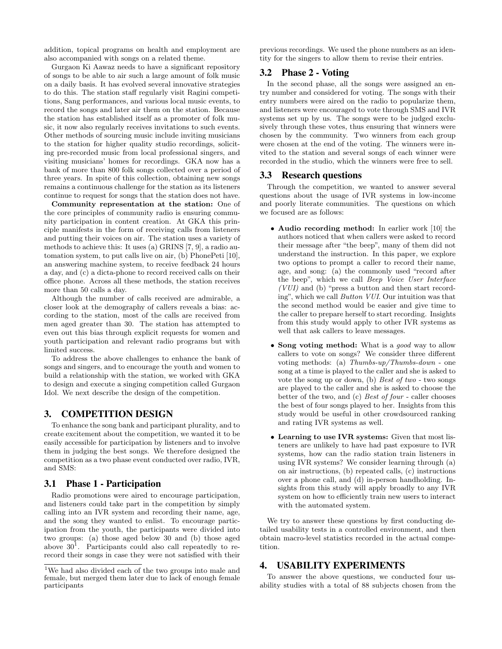addition, topical programs on health and employment are also accompanied with songs on a related theme.

Gurgaon Ki Aawaz needs to have a significant repository of songs to be able to air such a large amount of folk music on a daily basis. It has evolved several innovative strategies to do this. The station staff regularly visit Ragini competitions, Sang performances, and various local music events, to record the songs and later air them on the station. Because the station has established itself as a promoter of folk music, it now also regularly receives invitations to such events. Other methods of sourcing music include inviting musicians to the station for higher quality studio recordings, soliciting pre-recorded music from local professional singers, and visiting musicians' homes for recordings. GKA now has a bank of more than 800 folk songs collected over a period of three years. In spite of this collection, obtaining new songs remains a continuous challenge for the station as its listeners continue to request for songs that the station does not have.

Community representation at the station: One of the core principles of community radio is ensuring community participation in content creation. At GKA this principle manifests in the form of receiving calls from listeners and putting their voices on air. The station uses a variety of methods to achieve this: It uses (a) GRINS [7, 9], a radio automation system, to put calls live on air, (b) PhonePeti [10], an answering machine system, to receive feedback 24 hours a day, and (c) a dicta-phone to record received calls on their office phone. Across all these methods, the station receives more than 50 calls a day.

Although the number of calls received are admirable, a closer look at the demography of callers reveals a bias: according to the station, most of the calls are received from men aged greater than 30. The station has attempted to even out this bias through explicit requests for women and youth participation and relevant radio programs but with limited success.

To address the above challenges to enhance the bank of songs and singers, and to encourage the youth and women to build a relationship with the station, we worked with GKA to design and execute a singing competition called Gurgaon Idol. We next describe the design of the competition.

# **3. COMPETITION DESIGN**

To enhance the song bank and participant plurality, and to create excitement about the competition, we wanted it to be easily accessible for participation by listeners and to involve them in judging the best songs. We therefore designed the competition as a two phase event conducted over radio, IVR, and SMS:

## **3.1 Phase 1 - Participation**

Radio promotions were aired to encourage participation, and listeners could take part in the competition by simply calling into an IVR system and recording their name, age, and the song they wanted to enlist. To encourage participation from the youth, the participants were divided into two groups: (a) those aged below 30 and (b) those aged above 30<sup>1</sup>. Participants could also call repeatedly to rerecord their songs in case they were not satisfied with their previous recordings. We used the phone numbers as an identity for the singers to allow them to revise their entries.

# **3.2 Phase 2 - Voting**

In the second phase, all the songs were assigned an entry number and considered for voting. The songs with their entry numbers were aired on the radio to popularize them, and listeners were encouraged to vote through SMS and IVR systems set up by us. The songs were to be judged exclusively through these votes, thus ensuring that winners were chosen by the community. Two winners from each group were chosen at the end of the voting. The winners were invited to the station and several songs of each winner were recorded in the studio, which the winners were free to sell.

## **3.3 Research questions**

Through the competition, we wanted to answer several questions about the usage of IVR systems in low-income and poorly literate communities. The questions on which we focused are as follows:

- Audio recording method: In earlier work [10] the authors noticed that when callers were asked to record their message after "the beep", many of them did not understand the instruction. In this paper, we explore two options to prompt a caller to record their name, age, and song: (a) the commonly used "record after the beep", which we call Beep Voice User Interface (VUI) and (b) "press a button and then start recording", which we call Button VUI. Our intuition was that the second method would be easier and give time to the caller to prepare herself to start recording. Insights from this study would apply to other IVR systems as well that ask callers to leave messages.
- Song voting method: What is a good way to allow callers to vote on songs? We consider three different voting methods: (a) Thumbs-up/Thumbs-down - one song at a time is played to the caller and she is asked to vote the song up or down, (b) Best of two - two songs are played to the caller and she is asked to choose the better of the two, and (c) Best of four - caller chooses the best of four songs played to her. Insights from this study would be useful in other crowdsourced ranking and rating IVR systems as well.
- Learning to use IVR systems: Given that most listeners are unlikely to have had past exposure to IVR systems, how can the radio station train listeners in using IVR systems? We consider learning through (a) on air instructions, (b) repeated calls, (c) instructions over a phone call, and (d) in-person handholding. Insights from this study will apply broadly to any IVR system on how to efficiently train new users to interact with the automated system.

We try to answer these questions by first conducting detailed usability tests in a controlled environment, and then obtain macro-level statistics recorded in the actual competition.

# **4. USABILITY EXPERIMENTS**

To answer the above questions, we conducted four usability studies with a total of 88 subjects chosen from the

 $^1\rm{We}$  had also divided each of the two groups into male and female, but merged them later due to lack of enough female participants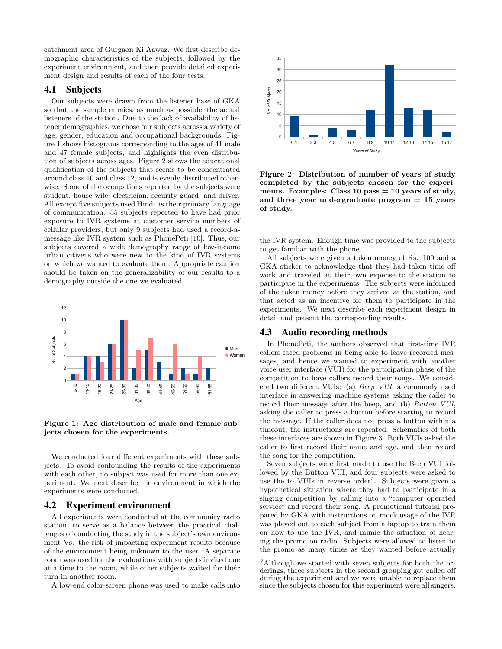catchment area of Gurgaon Ki Aawaz. We first describe demographic characteristics of the subjects, followed by the experiment environment, and then provide detailed experiment design and results of each of the four tests.

## **4.1 Subjects**

Our subjects were drawn from the listener base of GKA so that the sample mimics, as much as possible, the actual listeners of the station. Due to the lack of availability of listener demographics, we chose our subjects across a variety of age, gender, education and occupational backgrounds. Figure 1 shows histograms corresponding to the ages of 41 male and 47 female subjects, and highlights the even distribution of subjects across ages. Figure 2 shows the educational qualification of the subjects that seems to be concentrated around class 10 and class 12, and is evenly distributed otherwise. Some of the occupations reported by the subjects were student, house wife, electrician, security guard, and driver. All except five subjects used Hindi as their primary language of communication. 35 subjects reported to have had prior exposure to IVR systems at customer service numbers of cellular providers, but only 9 subjects had used a record-amessage like IVR system such as PhonePeti [10]. Thus, our subjects covered a wide demography range of low-income urban citizens who were new to the kind of IVR systems on which we wanted to evaluate them. Appropriate caution should be taken on the generalizability of our results to a demography outside the one we evaluated.



Figure 1: Age distribution of male and female subjects chosen for the experiments.

We conducted four different experiments with these subjects. To avoid confounding the results of the experiments with each other, no subject was used for more than one experiment. We next describe the environment in which the experiments were conducted.

#### **4.2 Experiment environment**

All experiments were conducted at the community radio station, to serve as a balance between the practical challenges of conducting the study in the subject's own environment Vs. the risk of impacting experiment results because of the environment being unknown to the user. A separate room was used for the evaluations with subjects invited one at a time to the room, while other subjects waited for their turn in another room.

A low-end color-screen phone was used to make calls into



Figure 2: Distribution of number of years of study completed by the subjects chosen for the experiments. Examples: Class  $10$  pass  $= 10$  years of study, and three year undergraduate  $program = 15$  years of study.

the IVR system. Enough time was provided to the subjects to get familiar with the phone.

All subjects were given a token money of Rs. 100 and a GKA sticker to acknowledge that they had taken time off work and traveled at their own expense to the station to participate in the experiments. The subjects were informed of the token money before they arrived at the station, and that acted as an incentive for them to participate in the experiments. We next describe each experiment design in detail and present the corresponding results.

## **4.3 Audio recording methods**

In PhonePeti, the authors observed that first-time IVR callers faced problems in being able to leave recorded messages, and hence we wanted to experiment with another voice user interface (VUI) for the participation phase of the competition to have callers record their songs. We considered two different VUIs: (a) Beep VUI, a commonly used interface in answering machine systems asking the caller to record their message after the beep, and (b) Button VUI, asking the caller to press a button before starting to record the message. If the caller does not press a button within a timeout, the instructions are repeated. Schematics of both these interfaces are shown in Figure 3. Both VUIs asked the caller to first record their name and age, and then record the song for the competition.

Seven subjects were first made to use the Beep VUI followed by the Button VUI, and four subjects were asked to use the to VUIs in reverse order<sup>2</sup>. Subjects were given a hypothetical situation where they had to participate in a singing competition by calling into a "computer operated service" and record their song. A promotional tutorial prepared by GKA with instructions on mock usage of the IVR was played out to each subject from a laptop to train them on how to use the IVR, and mimic the situation of hearing the promo on radio. Subjects were allowed to listen to the promo as many times as they wanted before actually

<sup>&</sup>lt;sup>2</sup>Although we started with seven subjects for both the orderings, three subjects in the second grouping got called off during the experiment and we were unable to replace them since the subjects chosen for this experiment were all singers.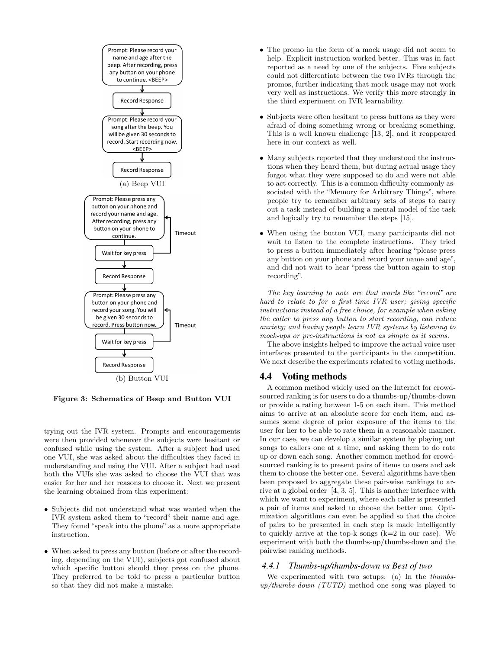

Figure 3: Schematics of Beep and Button VUI

trying out the IVR system. Prompts and encouragements were then provided whenever the subjects were hesitant or confused while using the system. After a subject had used one VUI, she was asked about the difficulties they faced in understanding and using the VUI. After a subject had used both the VUIs she was asked to choose the VUI that was easier for her and her reasons to choose it. Next we present the learning obtained from this experiment:

- Subjects did not understand what was wanted when the IVR system asked them to "record" their name and age. They found "speak into the phone" as a more appropriate instruction.
- When asked to press any button (before or after the recording, depending on the VUI), subjects got confused about which specific button should they press on the phone. They preferred to be told to press a particular button so that they did not make a mistake.
- The promo in the form of a mock usage did not seem to help. Explicit instruction worked better. This was in fact reported as a need by one of the subjects. Five subjects could not differentiate between the two IVRs through the promos, further indicating that mock usage may not work very well as instructions. We verify this more strongly in the third experiment on IVR learnability.
- Subjects were often hesitant to press buttons as they were afraid of doing something wrong or breaking something. This is a well known challenge [13, 2], and it reappeared here in our context as well.
- Many subjects reported that they understood the instructions when they heard them, but during actual usage they forgot what they were supposed to do and were not able to act correctly. This is a common difficulty commonly associated with the "Memory for Arbitrary Things", where people try to remember arbitrary sets of steps to carry out a task instead of building a mental model of the task and logically try to remember the steps [15].
- When using the button VUI, many participants did not wait to listen to the complete instructions. They tried to press a button immediately after hearing "please press any button on your phone and record your name and age", and did not wait to hear "press the button again to stop recording".

The key learning to note are that words like "record" are hard to relate to for a first time IVR user; giving specific instructions instead of a free choice, for example when asking the caller to press any button to start recording, can reduce anxiety; and having people learn IVR systems by listening to mock-ups or pre-instructions is not as simple as it seems.

The above insights helped to improve the actual voice user interfaces presented to the participants in the competition. We next describe the experiments related to voting methods.

## **4.4 Voting methods**

A common method widely used on the Internet for crowdsourced ranking is for users to do a thumbs-up/thumbs-down or provide a rating between 1-5 on each item. This method aims to arrive at an absolute score for each item, and assumes some degree of prior exposure of the items to the user for her to be able to rate them in a reasonable manner. In our case, we can develop a similar system by playing out songs to callers one at a time, and asking them to do rate up or down each song. Another common method for crowdsourced ranking is to present pairs of items to users and ask them to choose the better one. Several algorithms have then been proposed to aggregate these pair-wise rankings to arrive at a global order [4, 3, 5]. This is another interface with which we want to experiment, where each caller is presented a pair of items and asked to choose the better one. Optimization algorithms can even be applied so that the choice of pairs to be presented in each step is made intelligently to quickly arrive at the top-k songs  $(k=2$  in our case). We experiment with both the thumbs-up/thumbs-down and the pairwise ranking methods.

#### *4.4.1 Thumbs-up/thumbs-down vs Best of two*

We experimented with two setups: (a) In the *thumbs* $up/thumbs-down$  (TUTD) method one song was played to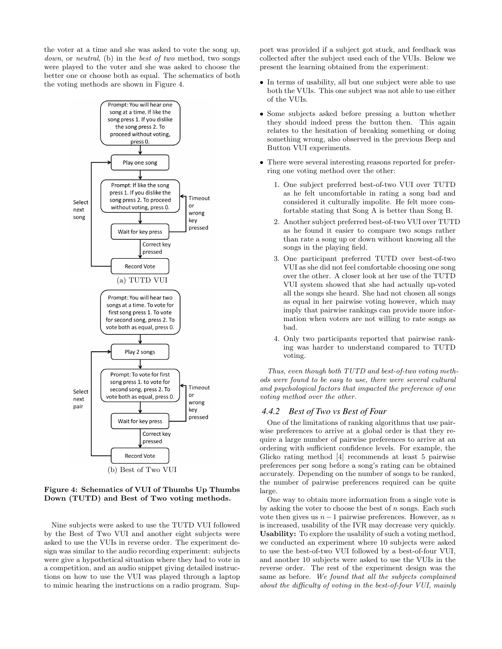the voter at a time and she was asked to vote the song up, down, or neutral, (b) in the best of two method, two songs were played to the voter and she was asked to choose the better one or choose both as equal. The schematics of both the voting methods are shown in Figure 4.



#### Figure 4: Schematics of VUI of Thumbs Up Thumbs Down (TUTD) and Best of Two voting methods.

Nine subjects were asked to use the TUTD VUI followed by the Best of Two VUI and another eight subjects were asked to use the VUIs in reverse order. The experiment design was similar to the audio recording experiment: subjects were give a hypothetical situation where they had to vote in a competition, and an audio snippet giving detailed instructions on how to use the VUI was played through a laptop to mimic hearing the instructions on a radio program. Support was provided if a subject got stuck, and feedback was collected after the subject used each of the VUIs. Below we present the learning obtained from the experiment:

- In terms of usability, all but one subject were able to use both the VUIs. This one subject was not able to use either of the VUIs.
- Some subjects asked before pressing a button whether they should indeed press the button then. This again relates to the hesitation of breaking something or doing something wrong, also observed in the previous Beep and Button VUI experiments.
- There were several interesting reasons reported for preferring one voting method over the other:
	- 1. One subject preferred best-of-two VUI over TUTD as he felt uncomfortable in rating a song bad and considered it culturally impolite. He felt more comfortable stating that Song A is better than Song B.
	- 2. Another subject preferred best-of-two VUI over TUTD as he found it easier to compare two songs rather than rate a song up or down without knowing all the songs in the playing field.
	- 3. One participant preferred TUTD over best-of-two VUI as she did not feel comfortable choosing one song over the other. A closer look at her use of the TUTD VUI system showed that she had actually up-voted all the songs she heard. She had not chosen all songs as equal in her pairwise voting however, which may imply that pairwise rankings can provide more information when voters are not willing to rate songs as bad.
	- 4. Only two participants reported that pairwise ranking was harder to understand compared to TUTD voting.

Thus, even though both TUTD and best-of-two voting methods were found to be easy to use, there were several cultural and psychological factors that impacted the preference of one voting method over the other.

#### *4.4.2 Best of Two vs Best of Four*

One of the limitations of ranking algorithms that use pairwise preferences to arrive at a global order is that they require a large number of pairwise preferences to arrive at an ordering with sufficient confidence levels. For example, the Glicko rating method [4] recommends at least 5 pairwise preferences per song before a song's rating can be obtained accurately. Depending on the number of songs to be ranked, the number of pairwise preferences required can be quite large.

One way to obtain more information from a single vote is by asking the voter to choose the best of  $n$  songs. Each such vote then gives us  $n-1$  pairwise preferences. However, as n is increased, usability of the IVR may decrease very quickly. Usability: To explore the usability of such a voting method, we conducted an experiment where 10 subjects were asked to use the best-of-two VUI followed by a best-of-four VUI, and another 10 subjects were asked to use the VUIs in the reverse order. The rest of the experiment design was the same as before. We found that all the subjects complained about the difficulty of voting in the best-of-four VUI, mainly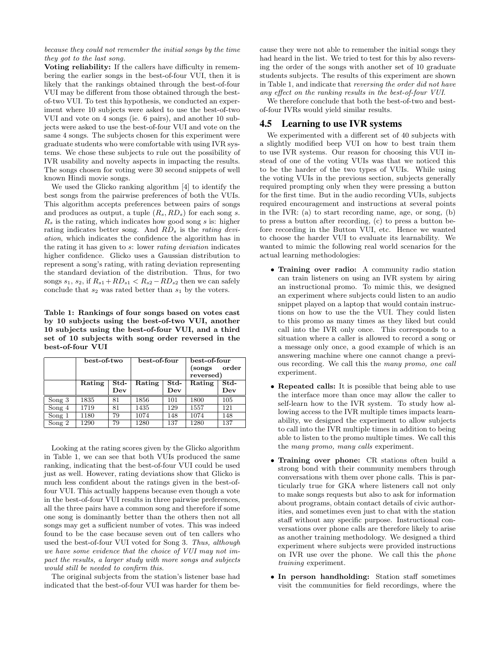because they could not remember the initial songs by the time they got to the last song.

Voting reliability: If the callers have difficulty in remembering the earlier songs in the best-of-four VUI, then it is likely that the rankings obtained through the best-of-four VUI may be different from those obtained through the bestof-two VUI. To test this hypothesis, we conducted an experiment where 10 subjects were asked to use the best-of-two VUI and vote on 4 songs (ie. 6 pairs), and another 10 subjects were asked to use the best-of-four VUI and vote on the same 4 songs. The subjects chosen for this experiment were graduate students who were comfortable with using IVR systems. We chose these subjects to rule out the possibility of IVR usability and novelty aspects in impacting the results. The songs chosen for voting were 30 second snippets of well known Hindi movie songs.

We used the Glicko ranking algorithm [4] to identify the best songs from the pairwise preferences of both the VUIs. This algorithm accepts preferences between pairs of songs and produces as output, a tuple  $(R_s, RD_s)$  for each song s.  $R<sub>s</sub>$  is the rating, which indicates how good song  $s$  is: higher rating indicates better song. And  $RD_s$  is the rating deviation, which indicates the confidence the algorithm has in the rating it has given to s: lower rating deviation indicates higher confidence. Glicko uses a Gaussian distribution to represent a song's rating, with rating deviation representing the standard deviation of the distribution. Thus, for two songs  $s_1$ ,  $s_2$ , if  $R_{s1}$  +  $RD_{s1}$  <  $R_{s2}$  -  $RD_{s2}$  then we can safely conclude that  $s_2$  was rated better than  $s_1$  by the voters.

Table 1: Rankings of four songs based on votes cast by 10 subjects using the best-of-two VUI, another 10 subjects using the best-of-four VUI, and a third set of 10 subjects with song order reversed in the best-of-four VUI

|                 | best-of-two |                        | best-of-four |                     | best-of-four<br>order<br>(songs<br>reversed) |                                |
|-----------------|-------------|------------------------|--------------|---------------------|----------------------------------------------|--------------------------------|
|                 | Rating      | Std-<br>$\mathbf{Dev}$ | Rating       | Std-<br>${\bf Dev}$ | Rating                                       | $_{\rm Std}$<br>$\mathbf{Dev}$ |
| Song $3$        | 1835        | 81                     | 1856         | 101                 | 1800                                         | 105                            |
| Song $4$        | 1719        | 81                     | 1435         | 129                 | 1557                                         | 121                            |
| $\text{Song} 1$ | 1180        | 79                     | 1074         | 148                 | 1074                                         | 148                            |
| Song $2$        | 1290        | 79                     | 1280         | 137                 | 1280                                         | 137                            |

Looking at the rating scores given by the Glicko algorithm in Table 1, we can see that both VUIs produced the same ranking, indicating that the best-of-four VUI could be used just as well. However, rating deviations show that Glicko is much less confident about the ratings given in the best-offour VUI. This actually happens because even though a vote in the best-of-four VUI results in three pairwise preferences, all the three pairs have a common song and therefore if some one song is dominantly better than the others then not all songs may get a sufficient number of votes. This was indeed found to be the case because seven out of ten callers who used the best-of-four VUI voted for Song 3. Thus, although we have some evidence that the choice of VUI may not impact the results, a larger study with more songs and subjects would still be needed to confirm this.

The original subjects from the station's listener base had indicated that the best-of-four VUI was harder for them because they were not able to remember the initial songs they had heard in the list. We tried to test for this by also reversing the order of the songs with another set of 10 graduate students subjects. The results of this experiment are shown in Table 1, and indicate that reversing the order did not have any effect on the ranking results in the best-of-four VUI.

We therefore conclude that both the best-of-two and bestof-four IVRs would yield similar results.

## **4.5 Learning to use IVR systems**

We experimented with a different set of 40 subjects with a slightly modified beep VUI on how to best train them to use IVR systems. Our reason for choosing this VUI instead of one of the voting VUIs was that we noticed this to be the harder of the two types of VUIs. While using the voting VUIs in the previous section, subjects generally required prompting only when they were pressing a button for the first time. But in the audio recording VUIs, subjects required encouragement and instructions at several points in the IVR: (a) to start recording name, age, or song, (b) to press a button after recording, (c) to press a button before recording in the Button VUI, etc. Hence we wanted to choose the harder VUI to evaluate its learnability. We wanted to mimic the following real world scenarios for the actual learning methodologies:

- Training over radio: A community radio station can train listeners on using an IVR system by airing an instructional promo. To mimic this, we designed an experiment where subjects could listen to an audio snippet played on a laptop that would contain instructions on how to use the the VUI. They could listen to this promo as many times as they liked but could call into the IVR only once. This corresponds to a situation where a caller is allowed to record a song or a message only once, a good example of which is an answering machine where one cannot change a previous recording. We call this the many promo, one call experiment.
- Repeated calls: It is possible that being able to use the interface more than once may allow the caller to self-learn how to the IVR system. To study how allowing access to the IVR multiple times impacts learnability, we designed the experiment to allow subjects to call into the IVR multiple times in addition to being able to listen to the promo multiple times. We call this the many promo, many calls experiment.
- Training over phone: CR stations often build a strong bond with their community members through conversations with them over phone calls. This is particularly true for GKA where listeners call not only to make songs requests but also to ask for information about programs, obtain contact details of civic authorities, and sometimes even just to chat with the station staff without any specific purpose. Instructional conversations over phone calls are therefore likely to arise as another training methodology. We designed a third experiment where subjects were provided instructions on IVR use over the phone. We call this the phone training experiment.
- In person handholding: Station staff sometimes visit the communities for field recordings, where the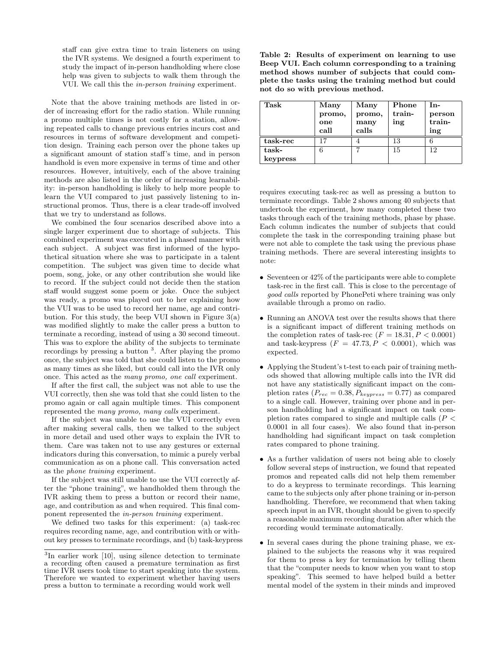staff can give extra time to train listeners on using the IVR systems. We designed a fourth experiment to study the impact of in-person handholding where close help was given to subjects to walk them through the VUI. We call this the in-person training experiment.

Note that the above training methods are listed in order of increasing effort for the radio station. While running a promo multiple times is not costly for a station, allowing repeated calls to change previous entries incurs cost and resources in terms of software development and competition design. Training each person over the phone takes up a significant amount of station staff's time, and in person handhold is even more expensive in terms of time and other resources. However, intuitively, each of the above training methods are also listed in the order of increasing learnability: in-person handholding is likely to help more people to learn the VUI compared to just passively listening to instructional promos. Thus, there is a clear trade-off involved that we try to understand as follows.

We combined the four scenarios described above into a single larger experiment due to shortage of subjects. This combined experiment was executed in a phased manner with each subject. A subject was first informed of the hypothetical situation where she was to participate in a talent competition. The subject was given time to decide what poem, song, joke, or any other contribution she would like to record. If the subject could not decide then the station staff would suggest some poem or joke. Once the subject was ready, a promo was played out to her explaining how the VUI was to be used to record her name, age and contribution. For this study, the beep VUI shown in Figure 3(a) was modified slightly to make the caller press a button to terminate a recording, instead of using a 30 second timeout. This was to explore the ability of the subjects to terminate recordings by pressing a button<sup>3</sup>. After playing the promo once, the subject was told that she could listen to the promo as many times as she liked, but could call into the IVR only once. This acted as the many promo, one call experiment.

If after the first call, the subject was not able to use the VUI correctly, then she was told that she could listen to the promo again or call again multiple times. This component represented the many promo, many calls experiment.

If the subject was unable to use the VUI correctly even after making several calls, then we talked to the subject in more detail and used other ways to explain the IVR to them. Care was taken not to use any gestures or external indicators during this conversation, to mimic a purely verbal communication as on a phone call. This conversation acted as the phone training experiment.

If the subject was still unable to use the VUI correctly after the "phone training", we handholded them through the IVR asking them to press a button or record their name, age, and contribution as and when required. This final component represented the in-person training experiment.

We defined two tasks for this experiment: (a) task-rec requires recording name, age, and contribution with or without key presses to terminate recordings, and (b) task-keypress

Table 2: Results of experiment on learning to use Beep VUI. Each column corresponding to a training method shows number of subjects that could complete the tasks using the training method but could not do so with previous method.

| Task     | Many<br>promo,<br>one<br>call | Many<br>promo,<br>many<br>calls | Phone<br>train-<br>ing | In-<br>person<br>train-<br>ing |
|----------|-------------------------------|---------------------------------|------------------------|--------------------------------|
| task-rec | 17                            |                                 | 13                     |                                |
| task-    |                               | ∍                               | 15                     | 12                             |
| keypress |                               |                                 |                        |                                |

requires executing task-rec as well as pressing a button to terminate recordings. Table 2 shows among 40 subjects that undertook the experiment, how many completed these two tasks through each of the training methods, phase by phase. Each column indicates the number of subjects that could complete the task in the corresponding training phase but were not able to complete the task using the previous phase training methods. There are several interesting insights to note:

- Seventeen or  $42\%$  of the participants were able to complete task-rec in the first call. This is close to the percentage of good calls reported by PhonePeti where training was only available through a promo on radio.
- Running an ANOVA test over the results shows that there is a significant impact of different training methods on the completion rates of task-rec  $(F = 18.31, P < 0.0001)$ and task-keypress  $(F = 47.73, P < 0.0001)$ , which was expected.
- Applying the Student's t-test to each pair of training methods showed that allowing multiple calls into the IVR did not have any statistically significant impact on the completion rates ( $P_{rec} = 0.38, P_{keypress} = 0.77$ ) as compared to a single call. However, training over phone and in person handholding had a significant impact on task completion rates compared to single and multiple calls ( $P <$ 0.0001 in all four cases). We also found that in-person handholding had significant impact on task completion rates compared to phone training.
- As a further validation of users not being able to closely follow several steps of instruction, we found that repeated promos and repeated calls did not help them remember to do a keypress to terminate recordings. This learning came to the subjects only after phone training or in-person handholding. Therefore, we recommend that when taking speech input in an IVR, thought should be given to specify a reasonable maximum recording duration after which the recording would terminate automatically.
- In several cases during the phone training phase, we explained to the subjects the reasons why it was required for them to press a key for termination by telling them that the "computer needs to know when you want to stop speaking". This seemed to have helped build a better mental model of the system in their minds and improved

<sup>&</sup>lt;sup>3</sup>In earlier work [10], using silence detection to terminate a recording often caused a premature termination as first time IVR users took time to start speaking into the system. Therefore we wanted to experiment whether having users press a button to terminate a recording would work well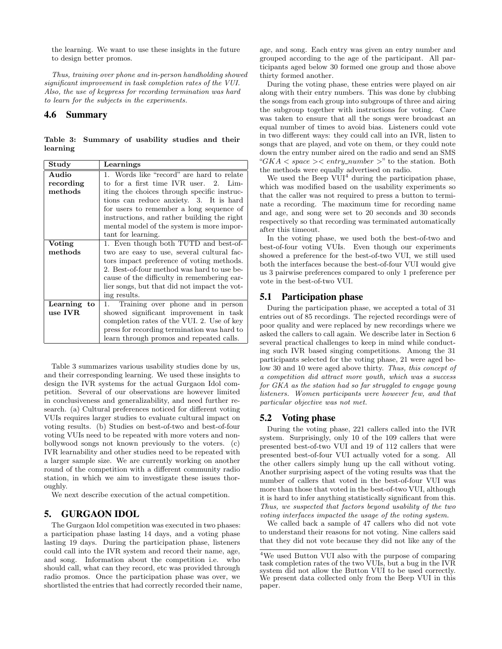the learning. We want to use these insights in the future to design better promos.

Thus, training over phone and in-person handholding showed significant improvement in task completion rates of the VUI. Also, the use of keypress for recording termination was hard to learn for the subjects in the experiments.

## **4.6 Summary**

Table 3: Summary of usability studies and their learning

| Study       | Learnings                                    |
|-------------|----------------------------------------------|
| Audio       | 1. Words like "record" are hard to relate    |
| recording   | to for a first time IVR user. 2. Lim-        |
| methods     | iting the choices through specific instruc-  |
|             | tions can reduce anxiety. 3. It is hard      |
|             | for users to remember a long sequence of     |
|             | instructions, and rather building the right  |
|             | mental model of the system is more impor-    |
|             | tant for learning.                           |
| Voting      | 1. Even though both TUTD and best-of-        |
| methods     | two are easy to use, several cultural fac-   |
|             | tors impact preference of voting methods.    |
|             | 2. Best-of-four method was hard to use be-   |
|             | cause of the difficulty in remembering ear-  |
|             | lier songs, but that did not impact the vot- |
|             | ing results.                                 |
| Learning to | Training over phone and in person            |
| use IVR     | showed significant improvement in task       |
|             | completion rates of the VUI. 2. Use of key   |
|             | press for recording termination was hard to  |
|             | learn through promos and repeated calls.     |

Table 3 summarizes various usability studies done by us, and their corresponding learning. We used these insights to design the IVR systems for the actual Gurgaon Idol competition. Several of our observations are however limited in conclusiveness and generalizability, and need further research. (a) Cultural preferences noticed for different voting VUIs requires larger studies to evaluate cultural impact on voting results. (b) Studies on best-of-two and best-of-four voting VUIs need to be repeated with more voters and nonbollywood songs not known previously to the voters. (c) IVR learnability and other studies need to be repeated with a larger sample size. We are currently working on another round of the competition with a different community radio station, in which we aim to investigate these issues thoroughly.

We next describe execution of the actual competition.

# **5. GURGAON IDOL**

The Gurgaon Idol competition was executed in two phases: a participation phase lasting 14 days, and a voting phase lasting 19 days. During the participation phase, listeners could call into the IVR system and record their name, age, and song. Information about the competition i.e. who should call, what can they record, etc was provided through radio promos. Once the participation phase was over, we shortlisted the entries that had correctly recorded their name, age, and song. Each entry was given an entry number and grouped according to the age of the participant. All participants aged below 30 formed one group and those above thirty formed another.

During the voting phase, these entries were played on air along with their entry numbers. This was done by clubbing the songs from each group into subgroups of three and airing the subgroup together with instructions for voting. Care was taken to ensure that all the songs were broadcast an equal number of times to avoid bias. Listeners could vote in two different ways: they could call into an IVR, listen to songs that are played, and vote on them, or they could note down the entry number aired on the radio and send an SMS "GKA  $\langle$  space  $\rangle$  = entry\_number  $\rangle$ " to the station. Both the methods were equally advertised on radio.

We used the Beep  $VUI<sup>4</sup>$  during the participation phase, which was modified based on the usability experiments so that the caller was not required to press a button to terminate a recording. The maximum time for recording name and age, and song were set to 20 seconds and 30 seconds respectively so that recording was terminated automatically after this timeout.

In the voting phase, we used both the best-of-two and best-of-four voting VUIs. Even though our experiments showed a preference for the best-of-two VUI, we still used both the interfaces because the best-of-four VUI would give us 3 pairwise preferences compared to only 1 preference per vote in the best-of-two VUI.

# **5.1 Participation phase**

During the participation phase, we accepted a total of 31 entries out of 85 recordings. The rejected recordings were of poor quality and were replaced by new recordings where we asked the callers to call again. We describe later in Section 6 several practical challenges to keep in mind while conducting such IVR based singing competitions. Among the 31 participants selected for the voting phase, 21 were aged below 30 and 10 were aged above thirty. Thus, this concept of a competition did attract more youth, which was a success for GKA as the station had so far struggled to engage young listeners. Women participants were however few, and that particular objective was not met.

# **5.2 Voting phase**

During the voting phase, 221 callers called into the IVR system. Surprisingly, only 10 of the 109 callers that were presented best-of-two VUI and 19 of 112 callers that were presented best-of-four VUI actually voted for a song. All the other callers simply hung up the call without voting. Another surprising aspect of the voting results was that the number of callers that voted in the best-of-four VUI was more than those that voted in the best-of-two VUI, although it is hard to infer anything statistically significant from this. Thus, we suspected that factors beyond usability of the two voting interfaces impacted the usage of the voting system.

We called back a sample of 47 callers who did not vote to understand their reasons for not voting. Nine callers said that they did not vote because they did not like any of the

<sup>4</sup>We used Button VUI also with the purpose of comparing task completion rates of the two VUIs, but a bug in the IVR system did not allow the Button VUI to be used correctly. We present data collected only from the Beep VUI in this paper.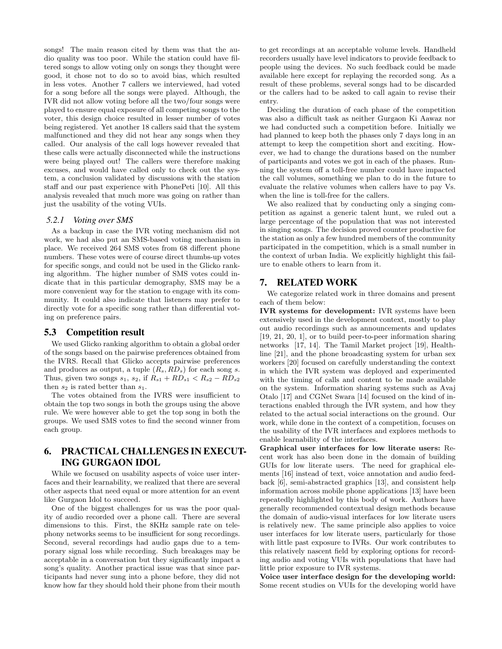songs! The main reason cited by them was that the audio quality was too poor. While the station could have filtered songs to allow voting only on songs they thought were good, it chose not to do so to avoid bias, which resulted in less votes. Another 7 callers we interviewed, had voted for a song before all the songs were played. Although, the IVR did not allow voting before all the two/four songs were played to ensure equal exposure of all competing songs to the voter, this design choice resulted in lesser number of votes being registered. Yet another 18 callers said that the system malfunctioned and they did not hear any songs when they called. Our analysis of the call logs however revealed that these calls were actually disconnected while the instructions were being played out! The callers were therefore making excuses, and would have called only to check out the system, a conclusion validated by discussions with the station staff and our past experience with PhonePeti [10]. All this analysis revealed that much more was going on rather than just the usability of the voting VUIs.

#### *5.2.1 Voting over SMS*

As a backup in case the IVR voting mechanism did not work, we had also put an SMS-based voting mechanism in place. We received 264 SMS votes from 68 different phone numbers. These votes were of course direct thumbs-up votes for specific songs, and could not be used in the Glicko ranking algorithm. The higher number of SMS votes could indicate that in this particular demography, SMS may be a more convenient way for the station to engage with its community. It could also indicate that listeners may prefer to directly vote for a specific song rather than differential voting on preference pairs.

## **5.3 Competition result**

We used Glicko ranking algorithm to obtain a global order of the songs based on the pairwise preferences obtained from the IVRS. Recall that Glicko accepts pairwise preferences and produces as output, a tuple  $(R_s, RD_s)$  for each song s. Thus, given two songs  $s_1$ ,  $s_2$ , if  $R_{s1} + RD_{s1} < R_{s2} - RD_{s2}$ then  $s_2$  is rated better than  $s_1$ .

The votes obtained from the IVRS were insufficient to obtain the top two songs in both the groups using the above rule. We were however able to get the top song in both the groups. We used SMS votes to find the second winner from each group.

# **6. PRACTICAL CHALLENGES IN EXECUT-ING GURGAON IDOL**

While we focused on usability aspects of voice user interfaces and their learnability, we realized that there are several other aspects that need equal or more attention for an event like Gurgaon Idol to succeed.

One of the biggest challenges for us was the poor quality of audio recorded over a phone call. There are several dimensions to this. First, the 8KHz sample rate on telephony networks seems to be insufficient for song recordings. Second, several recordings had audio gaps due to a temporary signal loss while recording. Such breakages may be acceptable in a conversation but they significantly impact a song's quality. Another practical issue was that since participants had never sung into a phone before, they did not know how far they should hold their phone from their mouth to get recordings at an acceptable volume levels. Handheld recorders usually have level indicators to provide feedback to people using the devices. No such feedback could be made available here except for replaying the recorded song. As a result of these problems, several songs had to be discarded or the callers had to be asked to call again to revise their entry.

Deciding the duration of each phase of the competition was also a difficult task as neither Gurgaon Ki Aawaz nor we had conducted such a competition before. Initially we had planned to keep both the phases only 7 days long in an attempt to keep the competition short and exciting. However, we had to change the durations based on the number of participants and votes we got in each of the phases. Running the system off a toll-free number could have impacted the call volumes, something we plan to do in the future to evaluate the relative volumes when callers have to pay Vs. when the line is toll-free for the callers.

We also realized that by conducting only a singing competition as against a generic talent hunt, we ruled out a large percentage of the population that was not interested in singing songs. The decision proved counter productive for the station as only a few hundred members of the community participated in the competition, which is a small number in the context of urban India. We explicitly highlight this failure to enable others to learn from it.

# **7. RELATED WORK**

We categorize related work in three domains and present each of them below:

IVR systems for development: IVR systems have been extensively used in the development context, mostly to play out audio recordings such as announcements and updates [19, 21, 20, 1], or to build peer-to-peer information sharing networks [17, 14]. The Tamil Market project [19], Healthline [21], and the phone broadcasting system for urban sex workers [20] focused on carefully understanding the context in which the IVR system was deployed and experimented with the timing of calls and content to be made available on the system. Information sharing systems such as Avaj Otalo [17] and CGNet Swara [14] focused on the kind of interactions enabled through the IVR system, and how they related to the actual social interactions on the ground. Our work, while done in the context of a competition, focuses on the usability of the IVR interfaces and explores methods to enable learnability of the interfaces.

Graphical user interfaces for low literate users: Recent work has also been done in the domain of building GUIs for low literate users. The need for graphical elements [16] instead of text, voice annotation and audio feedback [6], semi-abstracted graphics [13], and consistent help information across mobile phone applications [13] have been repeatedly highlighted by this body of work. Authors have generally recommended contextual design methods because the domain of audio-visual interfaces for low literate users is relatively new. The same principle also applies to voice user interfaces for low literate users, particularly for those with little past exposure to IVRs. Our work contributes to this relatively nascent field by exploring options for recording audio and voting VUIs with populations that have had little prior exposure to IVR systems.

Voice user interface design for the developing world: Some recent studies on VUIs for the developing world have